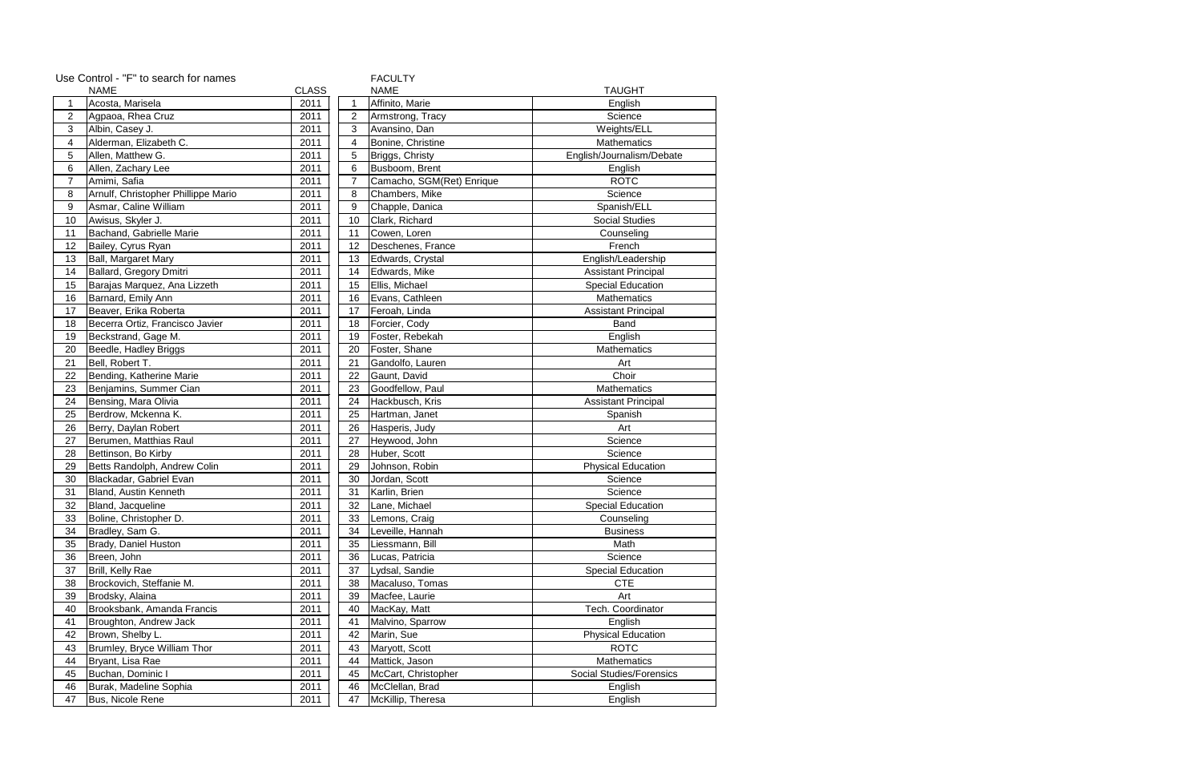| Use Control - "F" to search for names<br><b>FACULTY</b> |                                     |              |                |                           |                            |  |
|---------------------------------------------------------|-------------------------------------|--------------|----------------|---------------------------|----------------------------|--|
| <b>NAME</b>                                             |                                     | <b>CLASS</b> |                | <b>NAME</b>               | <b>TAUGHT</b>              |  |
| 1                                                       | Acosta, Marisela                    | 2011         | 1              | Affinito, Marie           | English                    |  |
| 2                                                       | Agpaoa, Rhea Cruz                   | 2011         | $\overline{2}$ | Armstrong, Tracy          | Science                    |  |
| 3                                                       | Albin, Casey J.                     | 2011         | 3              | Avansino, Dan             | Weights/ELL                |  |
| 4                                                       | Alderman, Elizabeth C.              | 2011         | 4              | Bonine, Christine         | <b>Mathematics</b>         |  |
| 5                                                       | Allen, Matthew G.                   | 2011         | 5              | Briggs, Christy           | English/Journalism/Debate  |  |
| 6                                                       | Allen, Zachary Lee                  | 2011         | 6              | Busboom, Brent            | English                    |  |
| $\overline{7}$                                          | Amimi, Safia                        | 2011         | $\overline{7}$ | Camacho, SGM(Ret) Enrique | <b>ROTC</b>                |  |
| 8                                                       | Arnulf, Christopher Phillippe Mario | 2011         | 8              | Chambers, Mike            | Science                    |  |
| 9                                                       | Asmar, Caline William               | 2011         | 9              | Chapple, Danica           | Spanish/ELL                |  |
| 10                                                      | Awisus, Skyler J.                   | 2011         | 10             | Clark, Richard            | <b>Social Studies</b>      |  |
| 11                                                      | Bachand, Gabrielle Marie            | 2011         | 11             | Cowen, Loren              | Counseling                 |  |
| 12                                                      | Bailey, Cyrus Ryan                  | 2011         | 12             | Deschenes, France         | French                     |  |
| 13                                                      | Ball, Margaret Mary                 | 2011         | 13             | Edwards, Crystal          | English/Leadership         |  |
| 14                                                      | Ballard, Gregory Dmitri             | 2011         | 14             | Edwards, Mike             | <b>Assistant Principal</b> |  |
| 15                                                      | Barajas Marquez, Ana Lizzeth        | 2011         | 15             | Ellis, Michael            | <b>Special Education</b>   |  |
| 16                                                      | Barnard, Emily Ann                  | 2011         | 16             | Evans, Cathleen           | Mathematics                |  |
| 17                                                      | Beaver, Erika Roberta               | 2011         | 17             | Feroah, Linda             | <b>Assistant Principal</b> |  |
| 18                                                      | Becerra Ortiz, Francisco Javier     | 2011         | 18             | Forcier, Cody             | Band                       |  |
| 19                                                      | Beckstrand, Gage M.                 | 2011         | 19             | Foster, Rebekah           | English                    |  |
| 20                                                      | Beedle, Hadley Briggs               | 2011         | 20             | Foster, Shane             | <b>Mathematics</b>         |  |
| 21                                                      | Bell, Robert T.                     | 2011         | 21             | Gandolfo, Lauren          | Art                        |  |
| 22                                                      | Bending, Katherine Marie            | 2011         | 22             | Gaunt, David              | Choir                      |  |
| 23                                                      | Benjamins, Summer Cian              | 2011         | 23             | Goodfellow, Paul          | <b>Mathematics</b>         |  |
| 24                                                      | Bensing, Mara Olivia                | 2011         | 24             | Hackbusch, Kris           | <b>Assistant Principal</b> |  |
| 25                                                      | Berdrow, Mckenna K.                 | 2011         | 25             | Hartman, Janet            | Spanish                    |  |
| 26                                                      | Berry, Daylan Robert                | 2011         | 26             | Hasperis, Judy            | Art                        |  |
| 27                                                      | Berumen, Matthias Raul              | 2011         | 27             | Heywood, John             | Science                    |  |
| 28                                                      | Bettinson, Bo Kirby                 | 2011         | 28             | Huber, Scott              | Science                    |  |
| 29                                                      | Betts Randolph, Andrew Colin        | 2011         | 29             | Johnson, Robin            | <b>Physical Education</b>  |  |
| 30                                                      | Blackadar, Gabriel Evan             | 2011         | 30             | Jordan, Scott             | Science                    |  |
| 31                                                      | <b>Bland, Austin Kenneth</b>        | 2011         | 31             | Karlin, Brien             | Science                    |  |
| 32                                                      | Bland, Jacqueline                   | 2011         | 32             | Lane, Michael             | <b>Special Education</b>   |  |
| 33                                                      | Boline, Christopher D.              | 2011         | 33             | Lemons, Craig             | Counseling                 |  |
| 34                                                      | Bradley, Sam G.                     | 2011         | 34             | Leveille, Hannah          | <b>Business</b>            |  |
| 35                                                      | Brady, Daniel Huston                | 2011         | 35             | Liessmann, Bill           | Math                       |  |
| 36                                                      | Breen, John                         | 2011         | 36             | Lucas, Patricia           | Science                    |  |
| 37                                                      | Brill, Kelly Rae                    | 2011         | 37             | Lydsal, Sandie            | <b>Special Education</b>   |  |
| 38                                                      | Brockovich, Steffanie M.            | 2011         | 38             | Macaluso, Tomas           | <b>CTE</b>                 |  |
| 39                                                      | Brodsky, Alaina                     | 2011         | 39             | Macfee, Laurie            | Art                        |  |
| 40                                                      | Brooksbank, Amanda Francis          | 2011         | 40             | MacKay, Matt              | Tech. Coordinator          |  |
| 41                                                      | Broughton, Andrew Jack              | 2011         | 41             | Malvino, Sparrow          | English                    |  |
| 42                                                      | Brown, Shelby L.                    | 2011         | 42             | Marin, Sue                | <b>Physical Education</b>  |  |
| 43                                                      | Brumley, Bryce William Thor         | 2011         | 43             | Maryott, Scott            | <b>ROTC</b>                |  |
| 44                                                      | Bryant, Lisa Rae                    | 2011         | 44             | Mattick, Jason            | <b>Mathematics</b>         |  |
| 45                                                      | Buchan, Dominic I                   | 2011         | 45             | McCart, Christopher       | Social Studies/Forensics   |  |
| 46                                                      | Burak, Madeline Sophia              | 2011         | 46             | McClellan, Brad           | English                    |  |
| 47                                                      | Bus, Nicole Rene                    | 2011         | 47             | McKillip, Theresa         | English                    |  |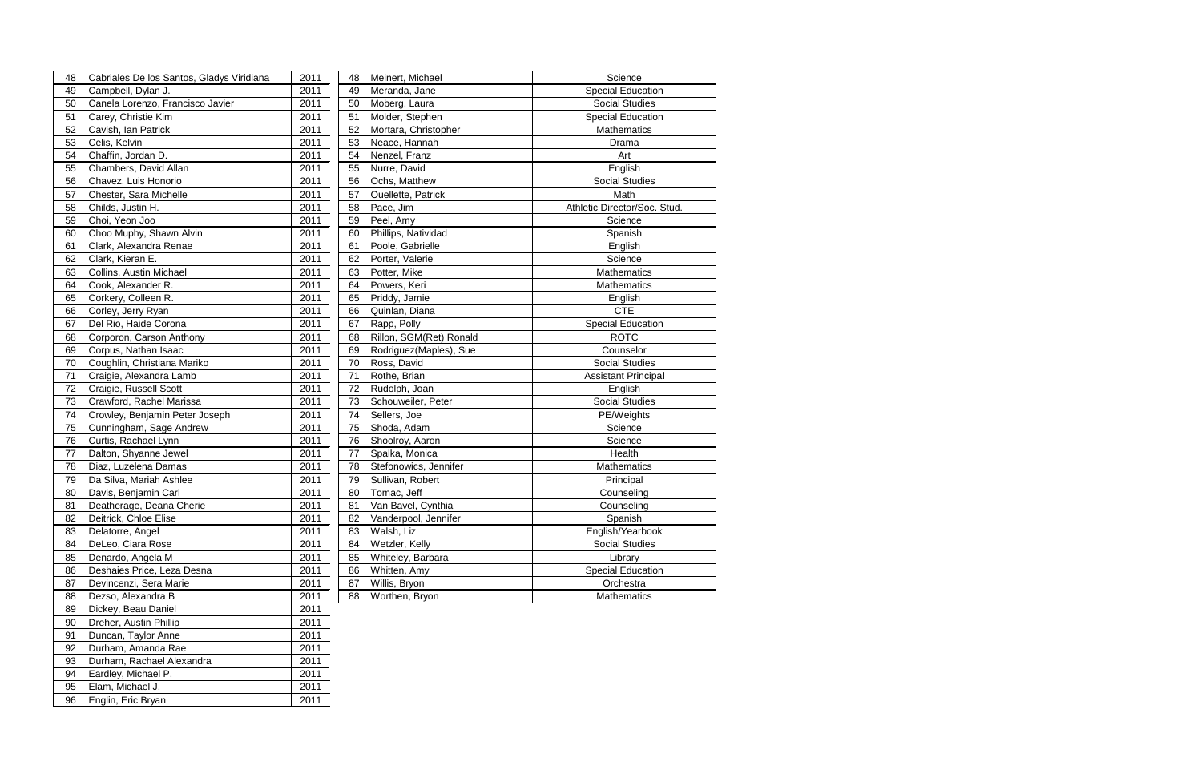| 48 | Cabriales De los Santos, Gladys Viridiana | 2011 | 48 | Meinert, Michael          | Science                      |
|----|-------------------------------------------|------|----|---------------------------|------------------------------|
| 49 | Campbell, Dylan J.                        | 2011 | 49 | Meranda, Jane             | <b>Special Education</b>     |
| 50 | Canela Lorenzo, Francisco Javier          | 2011 | 50 | Moberg, Laura             | <b>Social Studies</b>        |
| 51 | Carey, Christie Kim                       | 2011 | 51 | Molder, Stephen           | <b>Special Education</b>     |
| 52 | Cavish, Ian Patrick                       | 2011 | 52 | Mortara, Christopher      | <b>Mathematics</b>           |
| 53 | Celis, Kelvin                             | 2011 | 53 | Neace, Hannah             | Drama                        |
| 54 | Chaffin, Jordan D.                        | 2011 | 54 | Nenzel, Franz             | Art                          |
| 55 | Chambers, David Allan                     | 2011 | 55 | Nurre, David              | English                      |
| 56 | Chavez, Luis Honorio                      | 2011 | 56 | Ochs, Matthew             | <b>Social Studies</b>        |
| 57 | Chester, Sara Michelle                    | 2011 | 57 | <b>Ouellette, Patrick</b> | Math                         |
| 58 | Childs, Justin H.                         | 2011 | 58 | Pace, Jim                 | Athletic Director/Soc. Stud. |
| 59 | Choi, Yeon Joo                            | 2011 | 59 | Peel, Amy                 | Science                      |
| 60 | Choo Muphy, Shawn Alvin                   | 2011 | 60 | Phillips, Natividad       | Spanish                      |
| 61 | Clark, Alexandra Renae                    | 2011 | 61 | Poole, Gabrielle          | English                      |
| 62 | Clark, Kieran E.                          | 2011 | 62 | Porter, Valerie           | Science                      |
| 63 | Collins, Austin Michael                   | 2011 | 63 | Potter, Mike              | <b>Mathematics</b>           |
| 64 | Cook, Alexander R.                        | 2011 | 64 | Powers, Keri              | Mathematics                  |
| 65 | Corkery, Colleen R.                       | 2011 | 65 | Priddy, Jamie             | English                      |
| 66 | Corley, Jerry Ryan                        | 2011 | 66 | Quinlan, Diana            | <b>CTE</b>                   |
| 67 | Del Rio, Haide Corona                     | 2011 | 67 | Rapp, Polly               | <b>Special Education</b>     |
| 68 | Corporon, Carson Anthony                  | 2011 | 68 | Rillon, SGM(Ret) Ronald   | <b>ROTC</b>                  |
| 69 | Corpus, Nathan Isaac                      | 2011 | 69 | Rodriguez(Maples), Sue    | Counselor                    |
| 70 | Coughlin, Christiana Mariko               | 2011 | 70 | Ross, David               | <b>Social Studies</b>        |
| 71 | Craigie, Alexandra Lamb                   | 2011 | 71 | Rothe, Brian              | <b>Assistant Principal</b>   |
| 72 | Craigie, Russell Scott                    | 2011 | 72 | Rudolph, Joan             | English                      |
| 73 | Crawford, Rachel Marissa                  | 2011 | 73 | Schouweiler, Peter        | <b>Social Studies</b>        |
| 74 | Crowley, Benjamin Peter Joseph            | 2011 | 74 | Sellers, Joe              | PE/Weights                   |
| 75 | Cunningham, Sage Andrew                   | 2011 | 75 | Shoda, Adam               | Science                      |
| 76 | Curtis, Rachael Lynn                      | 2011 | 76 | Shoolroy, Aaron           | Science                      |
| 77 | Dalton, Shyanne Jewel                     | 2011 | 77 | Spalka, Monica            | Health                       |
| 78 | Diaz, Luzelena Damas                      | 2011 | 78 | Stefonowics, Jennifer     | Mathematics                  |
| 79 | Da Silva, Mariah Ashlee                   | 2011 | 79 | Sullivan, Robert          | Principal                    |
| 80 | Davis, Benjamin Carl                      | 2011 | 80 | Tomac, Jeff               | Counseling                   |
| 81 | Deatherage, Deana Cherie                  | 2011 | 81 | Van Bavel, Cynthia        | Counseling                   |
| 82 | Deitrick, Chloe Elise                     | 2011 | 82 | Vanderpool, Jennifer      | Spanish                      |
| 83 | Delatorre, Angel                          | 2011 | 83 | Walsh, Liz                | English/Yearbook             |
| 84 | DeLeo, Ciara Rose                         | 2011 | 84 | Wetzler, Kelly            | <b>Social Studies</b>        |
| 85 | Denardo, Angela M                         | 2011 | 85 | Whiteley, Barbara         | Library                      |
| 86 | Deshaies Price, Leza Desna                | 2011 | 86 | Whitten, Amy              | <b>Special Education</b>     |
| 87 | Devincenzi, Sera Marie                    | 2011 | 87 | Willis, Bryon             | Orchestra                    |
| 88 | Dezso, Alexandra B                        | 2011 | 88 | Worthen, Bryon            | Mathematics                  |
| 89 | Dickey, Beau Daniel                       | 2011 |    |                           |                              |
| 90 | Dreher, Austin Phillip                    | 2011 |    |                           |                              |
| 91 | Duncan, Taylor Anne                       | 2011 |    |                           |                              |
| 92 | Durham, Amanda Rae                        | 2011 |    |                           |                              |
| 93 | Durham, Rachael Alexandra                 | 2011 |    |                           |                              |
| 94 | Eardley, Michael P.                       | 2011 |    |                           |                              |

94 Eardley, Michael P. 2011<br>95 Elam, Michael J. 2011 95 Elam, Michael J. 2011<br>96 Englin, Eric Bryan 2011

96 Englin, Eric Bryan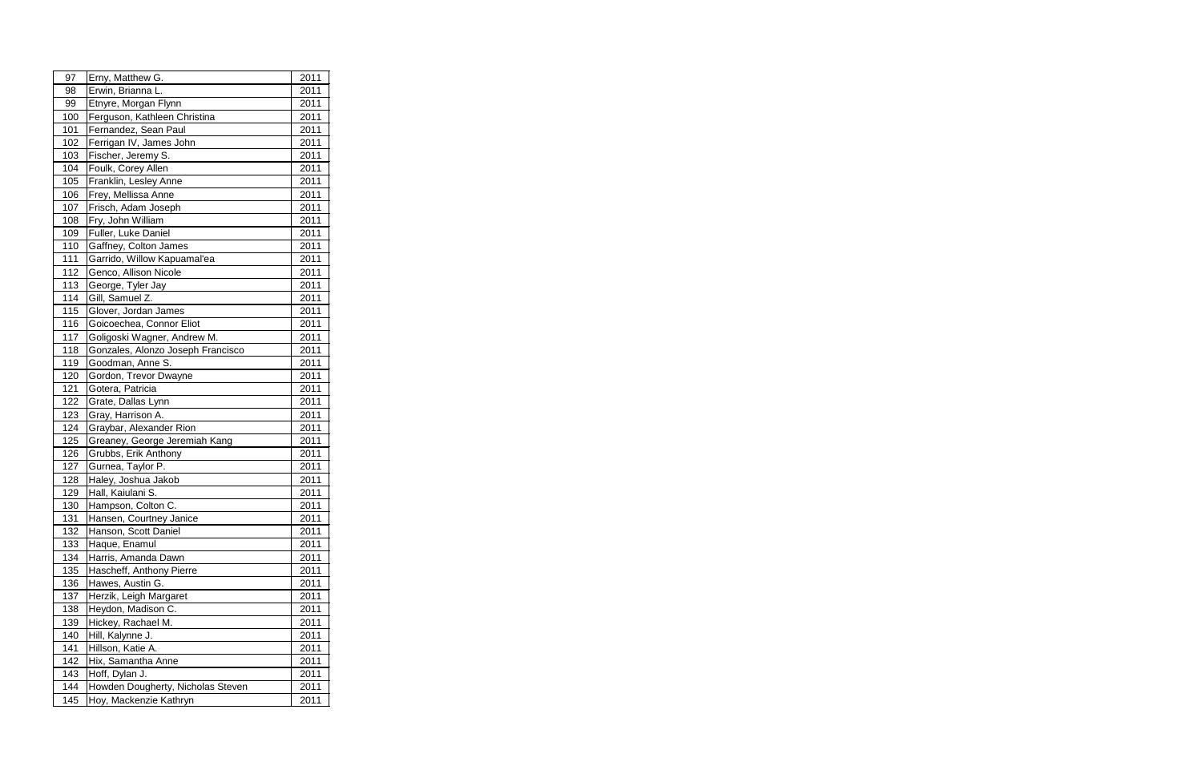| 97  | Erny, Matthew G.                  | 2011 |
|-----|-----------------------------------|------|
| 98  | Erwin, Brianna L.                 | 2011 |
| 99  | Etnyre, Morgan Flynn              | 2011 |
| 100 | Ferguson, Kathleen Christina      | 2011 |
| 101 | Fernandez, Sean Paul              | 2011 |
| 102 | Ferrigan IV, James John           | 2011 |
| 103 | Fischer, Jeremy S.                | 2011 |
| 104 | Foulk, Corey Allen                | 2011 |
| 105 | Franklin, Lesley Anne             | 2011 |
| 106 | Frey, Mellissa Anne               | 2011 |
| 107 | Frisch, Adam Joseph               | 2011 |
| 108 | Fry, John William                 | 2011 |
| 109 | Fuller, Luke Daniel               | 2011 |
| 110 | Gaffney, Colton James             | 2011 |
| 111 | Garrido, Willow Kapuamal'ea       | 2011 |
| 112 | Genco, Allison Nicole             | 2011 |
| 113 | George, Tyler Jay                 | 2011 |
| 114 | Gill, Samuel Z.                   | 2011 |
| 115 | Glover, Jordan James              | 2011 |
| 116 | Goicoechea, Connor Eliot          | 2011 |
| 117 | Goligoski Wagner, Andrew M.       | 2011 |
| 118 | Gonzales, Alonzo Joseph Francisco | 2011 |
| 119 | Goodman, Anne S.                  | 2011 |
| 120 | Gordon, Trevor Dwayne             | 2011 |
| 121 | Gotera, Patricia                  | 2011 |
| 122 | Grate, Dallas Lynn                | 2011 |
| 123 | Gray, Harrison A.                 | 2011 |
| 124 | Graybar, Alexander Rion           | 2011 |
| 125 | Greaney, George Jeremiah Kang     | 2011 |
| 126 | Grubbs, Erik Anthony              | 2011 |
| 127 | Gurnea, Taylor P.                 | 2011 |
| 128 | Haley, Joshua Jakob               | 2011 |
| 129 | Hall, Kaiulani S.                 | 2011 |
| 130 | Hampson, Colton C.                | 2011 |
| 131 | Hansen, Courtney Janice           | 2011 |
| 132 | Hanson, Scott Daniel              | 2011 |
| 133 | Haque, Enamul                     | 2011 |
| 134 | Harris, Amanda Dawn               | 2011 |
| 135 | Hascheff, Anthony Pierre          | 2011 |
| 136 | Hawes, Austin G.                  | 2011 |
| 137 | Herzik, Leigh Margaret            | 2011 |
| 138 | Heydon, Madison C.                | 2011 |
| 139 | Hickey, Rachael M.                | 2011 |
| 140 | Hill, Kalynne J.                  | 2011 |
| 141 | Hillson, Katie A.                 | 2011 |
| 142 | Hix, Samantha Anne                | 2011 |
| 143 | Hoff, Dylan J.                    | 2011 |
| 144 | Howden Dougherty, Nicholas Steven | 2011 |
| 145 | Hoy, Mackenzie Kathryn            | 2011 |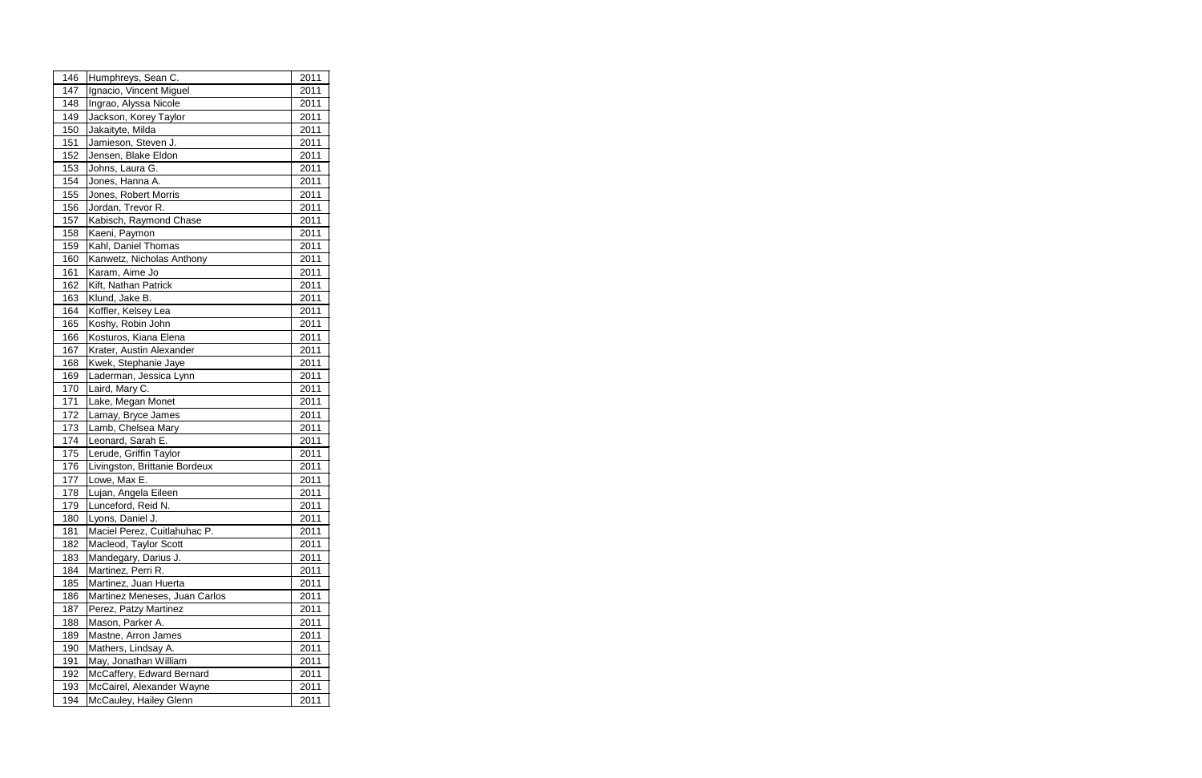| 146 | Humphreys, Sean C.            | 2011 |  |
|-----|-------------------------------|------|--|
| 147 | Ignacio, Vincent Miguel       | 2011 |  |
| 148 | Ingrao, Alyssa Nicole         | 2011 |  |
| 149 | Jackson, Korey Taylor         | 2011 |  |
| 150 | Jakaityte, Milda              | 2011 |  |
| 151 | Jamieson, Steven J.           | 2011 |  |
| 152 | Jensen, Blake Eldon           | 2011 |  |
| 153 | Johns, Laura G.               | 2011 |  |
| 154 | Jones, Hanna A.               | 2011 |  |
| 155 | Jones, Robert Morris          | 2011 |  |
| 156 | Jordan, Trevor R.             | 2011 |  |
| 157 | Kabisch, Raymond Chase        | 2011 |  |
| 158 | Kaeni, Paymon                 | 2011 |  |
| 159 | Kahl, Daniel Thomas           | 2011 |  |
| 160 | Kanwetz, Nicholas Anthony     | 2011 |  |
| 161 | Karam, Aime Jo                | 2011 |  |
| 162 | Kift, Nathan Patrick          | 2011 |  |
| 163 | Klund, Jake B.                | 2011 |  |
| 164 | Koffler, Kelsey Lea           | 2011 |  |
| 165 | Koshy, Robin John             | 2011 |  |
| 166 | Kosturos, Kiana Elena         | 2011 |  |
| 167 | Krater, Austin Alexander      | 2011 |  |
| 168 | Kwek, Stephanie Jaye          | 2011 |  |
| 169 | Laderman, Jessica Lynn        | 2011 |  |
| 170 | Laird, Mary C.                | 2011 |  |
| 171 | Lake, Megan Monet             | 2011 |  |
| 172 | Lamay, Bryce James            | 2011 |  |
| 173 | Lamb, Chelsea Mary            | 2011 |  |
| 174 | Leonard, Sarah E.             | 2011 |  |
| 175 | Lerude, Griffin Taylor        | 2011 |  |
| 176 | Livingston, Brittanie Bordeux | 2011 |  |
| 177 | Lowe, Max E.                  | 2011 |  |
| 178 | Lujan, Angela Eileen          | 2011 |  |
| 179 | Lunceford, Reid N.            | 2011 |  |
| 180 | Lyons, Daniel J.              | 2011 |  |
| 181 | Maciel Perez, Cuitlahuhac P.  | 2011 |  |
| 182 | Macleod, Taylor Scott         | 2011 |  |
| 183 | Mandegary, Darius J.          | 2011 |  |
| 184 | Martinez, Perri R.            | 2011 |  |
| 185 | Martinez, Juan Huerta         | 2011 |  |
| 186 | Martinez Meneses, Juan Carlos | 2011 |  |
| 187 | Perez, Patzy Martinez         | 2011 |  |
| 188 | Mason, Parker A.              | 2011 |  |
| 189 | Mastne, Arron James           | 2011 |  |
| 190 | Mathers, Lindsay A.           | 2011 |  |
| 191 | May, Jonathan William         | 2011 |  |
| 192 | McCaffery, Edward Bernard     | 2011 |  |
| 193 | McCairel, Alexander Wayne     | 2011 |  |
| 194 | McCauley, Hailey Glenn        | 2011 |  |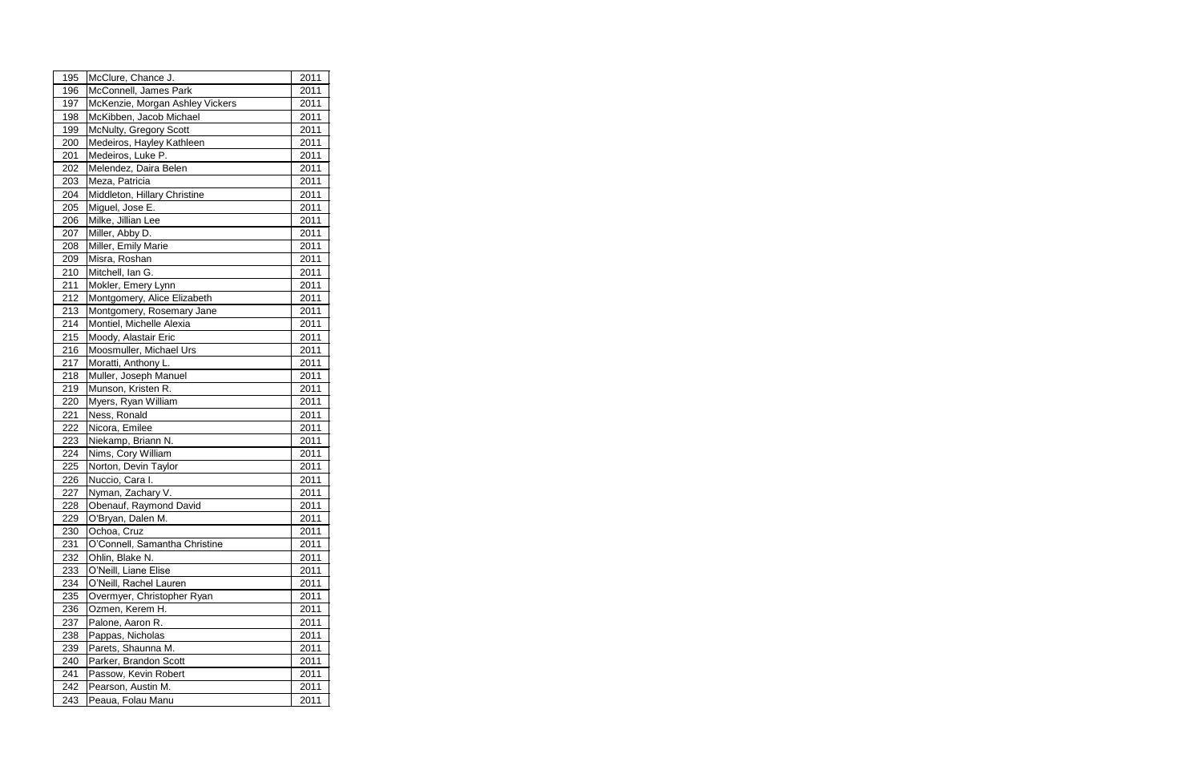| 195 | McClure, Chance J.              | 2011 |
|-----|---------------------------------|------|
| 196 | McConnell, James Park           | 2011 |
| 197 | McKenzie, Morgan Ashley Vickers | 2011 |
| 198 | McKibben, Jacob Michael         | 2011 |
| 199 | McNulty, Gregory Scott          | 2011 |
| 200 | Medeiros, Hayley Kathleen       | 2011 |
| 201 | Medeiros, Luke P.               | 2011 |
| 202 | Melendez, Daira Belen           | 2011 |
| 203 | Meza, Patricia                  | 2011 |
| 204 | Middleton, Hillary Christine    | 2011 |
| 205 | Miguel, Jose E.                 | 2011 |
| 206 | Milke, Jillian Lee              | 2011 |
| 207 | Miller, Abby D.                 | 2011 |
| 208 | Miller, Emily Marie             | 2011 |
| 209 | Misra, Roshan                   | 2011 |
| 210 | Mitchell, Ian G.                | 2011 |
| 211 | Mokler, Emery Lynn              | 2011 |
| 212 | Montgomery, Alice Elizabeth     | 2011 |
| 213 | Montgomery, Rosemary Jane       | 2011 |
| 214 | Montiel, Michelle Alexia        | 2011 |
| 215 | Moody, Alastair Eric            | 2011 |
| 216 | Moosmuller, Michael Urs         | 2011 |
| 217 | Moratti, Anthony L.             | 2011 |
| 218 | Muller, Joseph Manuel           | 2011 |
| 219 | Munson, Kristen R.              | 2011 |
| 220 | Myers, Ryan William             | 2011 |
| 221 | Ness, Ronald                    | 2011 |
| 222 | Nicora, Emilee                  | 2011 |
| 223 | Niekamp, Briann N.              | 2011 |
| 224 | Nims, Cory William              | 2011 |
| 225 | Norton, Devin Taylor            | 2011 |
| 226 | Nuccio, Cara I.                 | 2011 |
| 227 | Nyman, Zachary V.               | 2011 |
| 228 | Obenauf, Raymond David          | 2011 |
| 229 | O'Bryan, Dalen M.               | 2011 |
| 230 | Ochoa, Cruz                     | 2011 |
| 231 | O'Connell, Samantha Christine   | 2011 |
| 232 | Ohlin, Blake N.                 | 2011 |
| 233 | O'Neill, Liane Elise            | 2011 |
| 234 | O'Neill, Rachel Lauren          | 2011 |
| 235 | Overmyer, Christopher Ryan      | 2011 |
| 236 | Ozmen, Kerem H.                 | 2011 |
| 237 | Palone, Aaron R.                | 2011 |
| 238 | Pappas, Nicholas                | 2011 |
| 239 | Parets, Shaunna M.              | 2011 |
| 240 | Parker, Brandon Scott           | 2011 |
| 241 | Passow, Kevin Robert            | 2011 |
| 242 | Pearson, Austin M.              | 2011 |
| 243 | Peaua, Folau Manu               | 2011 |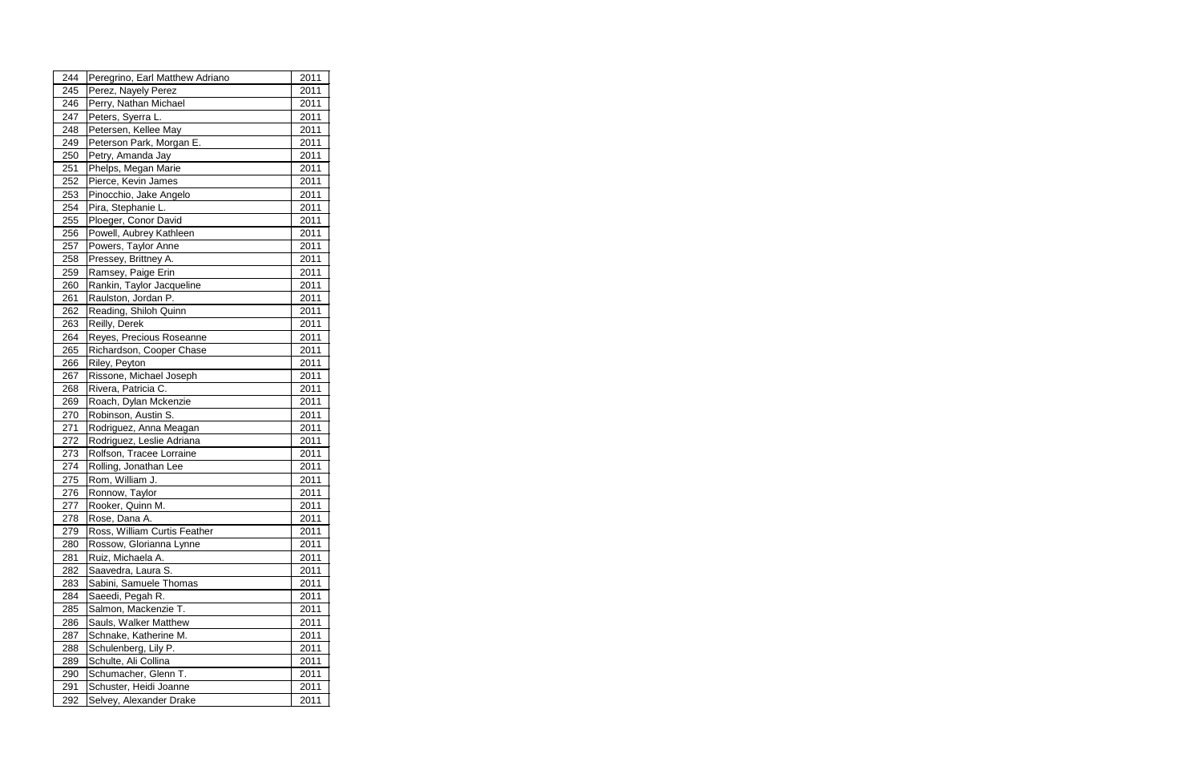| 244 | Peregrino, Earl Matthew Adriano | 2011 |
|-----|---------------------------------|------|
| 245 | Perez, Nayely Perez             | 2011 |
| 246 | Perry, Nathan Michael           | 2011 |
| 247 | Peters, Syerra L.               | 2011 |
| 248 | Petersen, Kellee May            | 2011 |
| 249 | Peterson Park, Morgan E.        | 2011 |
| 250 | Petry, Amanda Jay               | 2011 |
| 251 | Phelps, Megan Marie             | 2011 |
| 252 | Pierce, Kevin James             | 2011 |
| 253 | Pinocchio, Jake Angelo          | 2011 |
| 254 | Pira, Stephanie L.              | 2011 |
| 255 | Ploeger, Conor David            | 2011 |
| 256 | Powell, Aubrey Kathleen         | 2011 |
| 257 | Powers, Taylor Anne             | 2011 |
| 258 | Pressey, Brittney A.            | 2011 |
| 259 | Ramsey, Paige Erin              | 2011 |
| 260 | Rankin, Taylor Jacqueline       | 2011 |
| 261 | Raulston, Jordan P.             | 2011 |
| 262 | Reading, Shiloh Quinn           | 2011 |
| 263 | Reilly, Derek                   | 2011 |
| 264 | Reyes, Precious Roseanne        | 2011 |
| 265 | Richardson, Cooper Chase        | 2011 |
| 266 | Riley, Peyton                   | 2011 |
| 267 | Rissone, Michael Joseph         | 2011 |
| 268 | Rivera, Patricia C.             | 2011 |
| 269 | Roach, Dylan Mckenzie           | 2011 |
| 270 | Robinson, Austin S.             | 2011 |
| 271 | Rodriguez, Anna Meagan          | 2011 |
| 272 | Rodriguez, Leslie Adriana       | 2011 |
| 273 | Rolfson, Tracee Lorraine        | 2011 |
| 274 | Rolling, Jonathan Lee           | 2011 |
| 275 | Rom, William J.                 | 2011 |
| 276 | Ronnow, Taylor                  | 2011 |
| 277 | Rooker, Quinn M.                | 2011 |
| 278 | Rose, Dana A.                   | 2011 |
| 279 | Ross, William Curtis Feather    | 2011 |
| 280 | Rossow, Glorianna Lynne         | 2011 |
| 281 | Ruiz, Michaela A.               | 2011 |
| 282 | Saavedra, Laura S.              | 2011 |
| 283 | Sabini, Samuele Thomas          | 2011 |
| 284 | Saeedi, Pegah R.                | 2011 |
| 285 | Salmon, Mackenzie T.            | 2011 |
| 286 | Sauls, Walker Matthew           | 2011 |
| 287 | Schnake, Katherine M.           | 2011 |
| 288 | Schulenberg, Lily P.            | 2011 |
| 289 | Schulte, Ali Collina            | 2011 |
| 290 | Schumacher, Glenn T.            | 2011 |
| 291 | Schuster, Heidi Joanne          | 2011 |
| 292 | Selvey, Alexander Drake         | 2011 |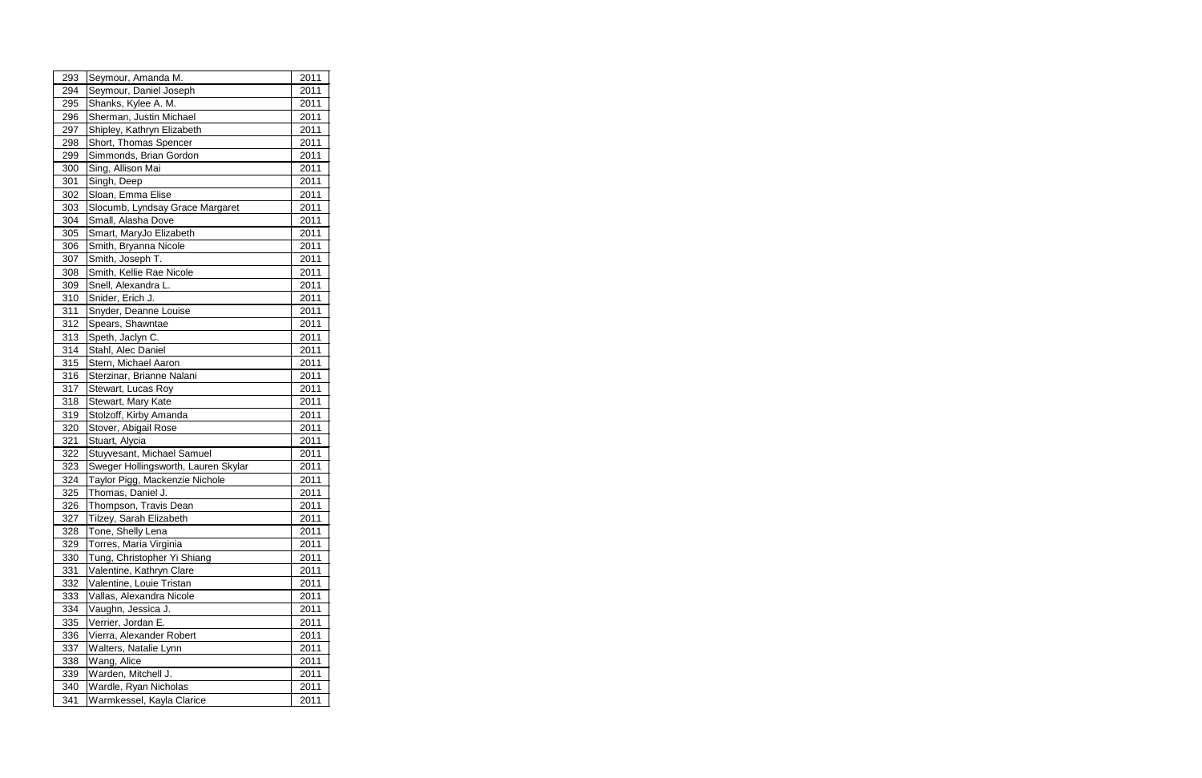| 293 | Seymour, Amanda M.                  | 2011 |
|-----|-------------------------------------|------|
| 294 | Seymour, Daniel Joseph              | 2011 |
| 295 | Shanks, Kylee A. M.                 | 2011 |
| 296 | Sherman, Justin Michael             | 2011 |
| 297 | Shipley, Kathryn Elizabeth          | 2011 |
| 298 | Short, Thomas Spencer               | 2011 |
| 299 | Simmonds, Brian Gordon              | 2011 |
| 300 | Sing, Allison Mai                   | 2011 |
| 301 | Singh, Deep                         | 2011 |
| 302 | Sloan, Emma Elise                   | 2011 |
| 303 | Slocumb, Lyndsay Grace Margaret     | 2011 |
| 304 | Small, Alasha Dove                  | 2011 |
| 305 | Smart, MaryJo Elizabeth             | 2011 |
| 306 | Smith, Bryanna Nicole               | 2011 |
| 307 | Smith, Joseph T.                    | 2011 |
| 308 | Smith, Kellie Rae Nicole            | 2011 |
| 309 | Snell, Alexandra L.                 | 2011 |
| 310 | Snider, Erich J.                    | 2011 |
| 311 | Snyder, Deanne Louise               | 2011 |
| 312 | Spears, Shawntae                    | 2011 |
| 313 | Speth, Jaclyn C.                    | 2011 |
| 314 | Stahl, Alec Daniel                  | 2011 |
| 315 | Stern, Michael Aaron                | 2011 |
| 316 | Sterzinar, Brianne Nalani           | 2011 |
| 317 | Stewart, Lucas Roy                  | 2011 |
| 318 | Stewart, Mary Kate                  | 2011 |
| 319 | Stolzoff, Kirby Amanda              | 2011 |
| 320 | Stover, Abigail Rose                | 2011 |
| 321 | Stuart, Alycia                      | 2011 |
| 322 | Stuyvesant, Michael Samuel          | 2011 |
| 323 | Sweger Hollingsworth, Lauren Skylar | 2011 |
| 324 | Taylor Pigg, Mackenzie Nichole      | 2011 |
| 325 | Thomas, Daniel J.                   | 2011 |
| 326 | Thompson, Travis Dean               | 2011 |
| 327 | Tilzey, Sarah Elizabeth             | 2011 |
| 328 | Tone, Shelly Lena                   | 2011 |
| 329 | Torres, Maria Virginia              | 2011 |
| 330 | Tung, Christopher Yi Shiang         | 2011 |
| 331 | Valentine, Kathryn Clare            | 2011 |
| 332 | Valentine, Louie Tristan            | 2011 |
| 333 | Vallas, Alexandra Nicole            | 2011 |
| 334 | Vaughn, Jessica J.                  | 2011 |
| 335 | Verrier, Jordan E.                  | 2011 |
| 336 | Vierra, Alexander Robert            | 2011 |
| 337 | Walters, Natalie Lynn               | 2011 |
| 338 | Wang, Alice                         | 2011 |
| 339 | Warden, Mitchell J.                 | 2011 |
| 340 | Wardle, Ryan Nicholas               | 2011 |
| 341 | Warmkessel, Kayla Clarice           | 2011 |